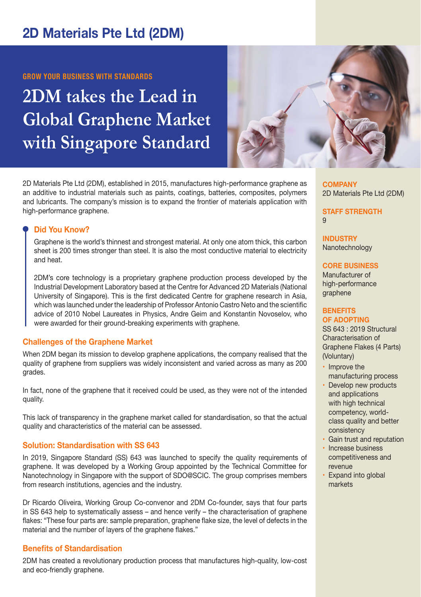# **2D Materials Pte Ltd (2DM)**

# **GROW YOUR BUSINESS WITH STANDARDS**

# **2DM takes the Lead in Global Graphene Market with Singapore Standard**



2D Materials Pte Ltd (2DM), established in 2015, manufactures high-performance graphene as an additive to industrial materials such as paints, coatings, batteries, composites, polymers and lubricants. The company's mission is to expand the frontier of materials application with high-performance graphene.

## **Did You Know?**

Graphene is the world's thinnest and strongest material. At only one atom thick, this carbon sheet is 200 times stronger than steel. It is also the most conductive material to electricity and heat.

2DM's core technology is a proprietary graphene production process developed by the Industrial Development Laboratory based at the Centre for Advanced 2D Materials (National University of Singapore). This is the first dedicated Centre for graphene research in Asia, which was launched under the leadership of Professor Antonio Castro Neto and the scientific advice of 2010 Nobel Laureates in Physics, Andre Geim and Konstantin Novoselov, who were awarded for their ground-breaking experiments with graphene.

# **Challenges of the Graphene Market**

When 2DM began its mission to develop graphene applications, the company realised that the quality of graphene from suppliers was widely inconsistent and varied across as many as 200 grades.

In fact, none of the graphene that it received could be used, as they were not of the intended quality.

This lack of transparency in the graphene market called for standardisation, so that the actual quality and characteristics of the material can be assessed.

# **Solution: Standardisation with SS 643**

In 2019, Singapore Standard (SS) 643 was launched to specify the quality requirements of graphene. It was developed by a Working Group appointed by the Technical Committee for Nanotechnology in Singapore with the support of SDO@SCIC. The group comprises members from research institutions, agencies and the industry.

Dr Ricardo Oliveira, Working Group Co-convenor and 2DM Co-founder, says that four parts in SS 643 help to systematically assess – and hence verify – the characterisation of graphene flakes: "These four parts are: sample preparation, graphene flake size, the level of defects in the material and the number of layers of the graphene flakes."

# **Benefits of Standardisation**

2DM has created a revolutionary production process that manufactures high-quality, low-cost and eco-friendly graphene.

**COMPANY** 2D Materials Pte Ltd (2DM)

**STAFF STRENGTH**  $\alpha$ 

**INDUSTRY** Nanotechnology

**CORE BUSINESS** Manufacturer of

high-performance graphene

#### **BENEFITS OF ADOPTING**

SS 643 : 2019 Structural Characterisation of Graphene Flakes (4 Parts) (Voluntary)

- Improve the manufacturing process
- Develop new products and applications with high technical competency, worldclass quality and better consistency
- Gain trust and reputation
- Increase business competitiveness and revenue
- Expand into global markets